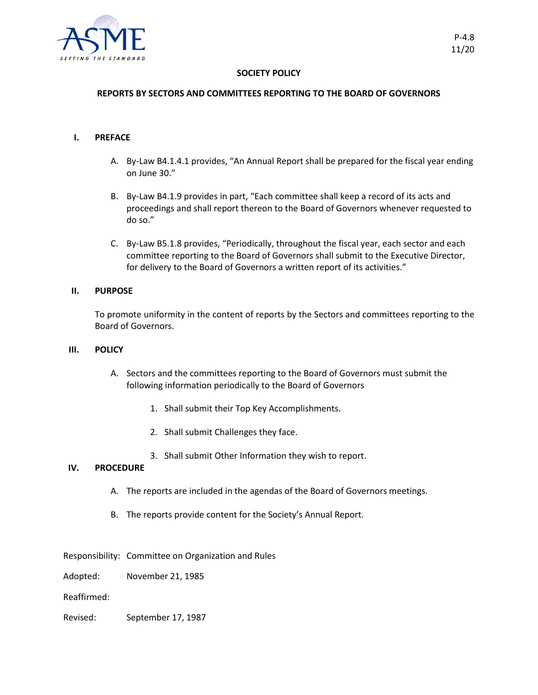

### **SOCIETY POLICY**

## **REPORTS BY SECTORS AND COMMITTEES REPORTING TO THE BOARD OF GOVERNORS**

#### **I. PREFACE**

- A. By-Law B4.1.4.1 provides, "An Annual Report shall be prepared for the fiscal year ending on June 30."
- B. By-Law B4.1.9 provides in part, "Each committee shall keep a record of its acts and proceedings and shall report thereon to the Board of Governors whenever requested to do so."
- C. By-Law B5.1.8 provides, "Periodically, throughout the fiscal year, each sector and each committee reporting to the Board of Governors shall submit to the Executive Director, for delivery to the Board of Governors a written report of its activities."

# **II. PURPOSE**

To promote uniformity in the content of reports by the Sectors and committees reporting to the Board of Governors.

#### **III. POLICY**

- A. Sectors and the committees reporting to the Board of Governors must submit the following information periodically to the Board of Governors
	- 1. Shall submit their Top Key Accomplishments.
	- 2. Shall submit Challenges they face.
	- 3. Shall submit Other Information they wish to report.

# **IV. PROCEDURE**

- A. The reports are included in the agendas of the Board of Governors meetings.
- B. The reports provide content for the Society's Annual Report.

Responsibility: Committee on Organization and Rules

Adopted: November 21, 1985

Reaffirmed:

Revised: September 17, 1987